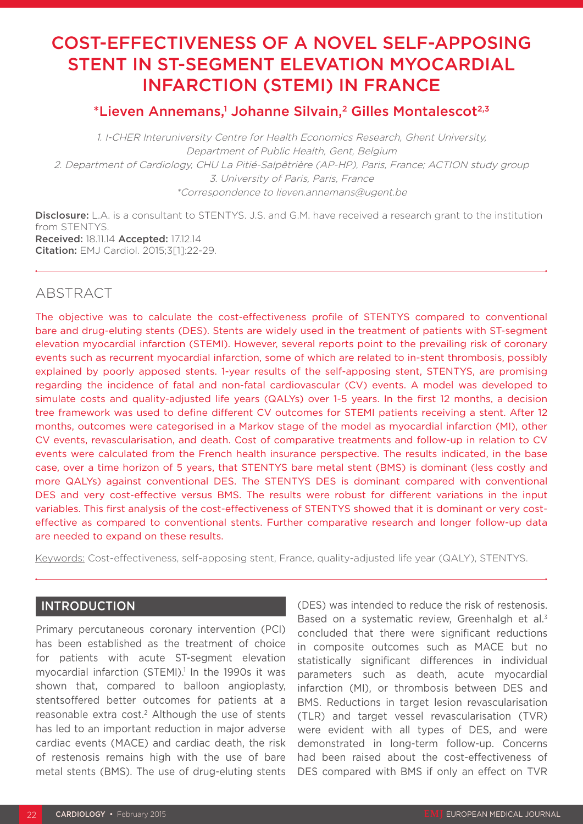# COST-EFFECTIVENESS OF A NOVEL SELF-APPOSING STENT IN ST-SEGMENT ELEVATION MYOCARDIAL INFARCTION (STEMI) IN FRANCE

# \*Lieven Annemans,<sup>1</sup> Johanne Silvain,<sup>2</sup> Gilles Montalescot<sup>2,3</sup>

1. I-CHER Interuniversity Centre for Health Economics Research, Ghent University, Department of Public Health, Gent, Belgium 2. Department of Cardiology, CHU La Pitié-Salpêtrière (AP-HP), Paris, France; ACTION study group 3. University of Paris, Paris, France \*Correspondence to lieven.annemans@ugent.be

Disclosure: L.A. is a consultant to STENTYS. J.S. and G.M. have received a research grant to the institution from STENTYS. Received: 18.11.14 Accepted: 17.12.14 Citation: EMJ Cardiol. 2015;3[1]:22-29.

# ABSTRACT

The objective was to calculate the cost-effectiveness profile of STENTYS compared to conventional bare and drug-eluting stents (DES). Stents are widely used in the treatment of patients with ST-segment elevation myocardial infarction (STEMI). However, several reports point to the prevailing risk of coronary events such as recurrent myocardial infarction, some of which are related to in-stent thrombosis, possibly explained by poorly apposed stents. 1-year results of the self-apposing stent, STENTYS, are promising regarding the incidence of fatal and non-fatal cardiovascular (CV) events. A model was developed to simulate costs and quality-adjusted life years (QALYs) over 1-5 years. In the first 12 months, a decision tree framework was used to define different CV outcomes for STEMI patients receiving a stent. After 12 months, outcomes were categorised in a Markov stage of the model as myocardial infarction (MI), other CV events, revascularisation, and death. Cost of comparative treatments and follow-up in relation to CV events were calculated from the French health insurance perspective. The results indicated, in the base case, over a time horizon of 5 years, that STENTYS bare metal stent (BMS) is dominant (less costly and more QALYs) against conventional DES. The STENTYS DES is dominant compared with conventional DES and very cost-effective versus BMS. The results were robust for different variations in the input variables. This first analysis of the cost-effectiveness of STENTYS showed that it is dominant or very costeffective as compared to conventional stents. Further comparative research and longer follow-up data are needed to expand on these results.

Keywords: Cost-effectiveness, self-apposing stent, France, quality-adjusted life year (QALY), STENTYS.

# **INTRODUCTION**

Primary percutaneous coronary intervention (PCI) has been established as the treatment of choice for patients with acute ST-segment elevation myocardial infarction (STEMI).<sup>1</sup> In the 1990s it was shown that, compared to balloon angioplasty, stentsoffered better outcomes for patients at a reasonable extra cost.<sup>2</sup> Although the use of stents has led to an important reduction in major adverse cardiac events (MACE) and cardiac death, the risk of restenosis remains high with the use of bare metal stents (BMS). The use of drug-eluting stents

(DES) was intended to reduce the risk of restenosis. Based on a systematic review, Greenhalgh et al.<sup>3</sup> concluded that there were significant reductions in composite outcomes such as MACE but no statistically significant differences in individual parameters such as death, acute myocardial infarction (MI), or thrombosis between DES and BMS. Reductions in target lesion revascularisation (TLR) and target vessel revascularisation (TVR) were evident with all types of DES, and were demonstrated in long-term follow-up. Concerns had been raised about the cost-effectiveness of DES compared with BMS if only an effect on TVR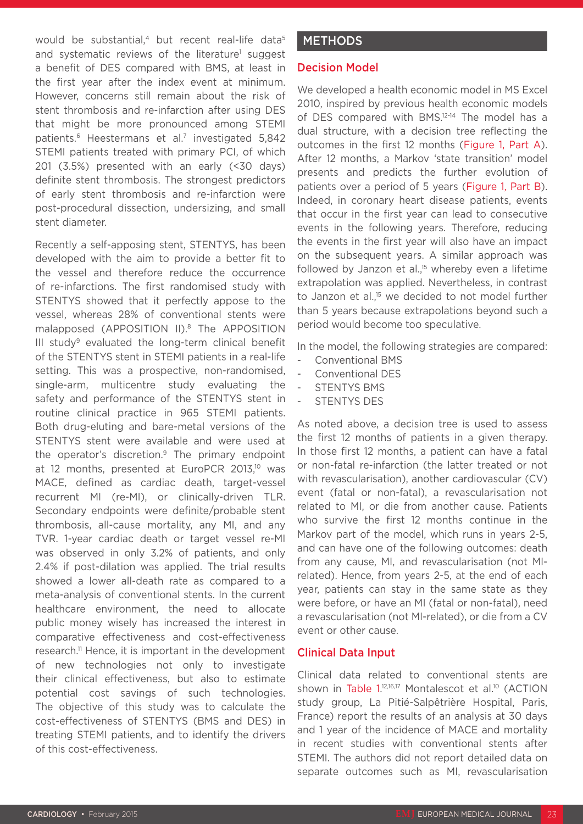would be substantial, $4$  but recent real-life data $5$ and systematic reviews of the literature<sup>1</sup> suggest a benefit of DES compared with BMS, at least in the first year after the index event at minimum. However, concerns still remain about the risk of stent thrombosis and re-infarction after using DES that might be more pronounced among STEMI patients.<sup>6</sup> Heestermans et al.<sup>7</sup> investigated 5,842 STEMI patients treated with primary PCI, of which 201 (3.5%) presented with an early (<30 days) definite stent thrombosis. The strongest predictors of early stent thrombosis and re-infarction were post-procedural dissection, undersizing, and small stent diameter.

Recently a self-apposing stent, STENTYS, has been developed with the aim to provide a better fit to the vessel and therefore reduce the occurrence of re-infarctions. The first randomised study with STENTYS showed that it perfectly appose to the vessel, whereas 28% of conventional stents were malapposed (APPOSITION II).8 The APPOSITION III study<sup>9</sup> evaluated the long-term clinical benefit of the STENTYS stent in STEMI patients in a real-life setting. This was a prospective, non-randomised, single-arm, multicentre study evaluating the safety and performance of the STENTYS stent in routine clinical practice in 965 STEMI patients. Both drug-eluting and bare-metal versions of the STENTYS stent were available and were used at the operator's discretion.9 The primary endpoint at 12 months, presented at EuroPCR 2013,<sup>10</sup> was MACE, defined as cardiac death, target-vessel recurrent MI (re-MI), or clinically-driven TLR. Secondary endpoints were definite/probable stent thrombosis, all-cause mortality, any MI, and any TVR. 1-year cardiac death or target vessel re-MI was observed in only 3.2% of patients, and only 2.4% if post-dilation was applied. The trial results showed a lower all-death rate as compared to a meta-analysis of conventional stents. In the current healthcare environment, the need to allocate public money wisely has increased the interest in comparative effectiveness and cost-effectiveness research.11 Hence, it is important in the development of new technologies not only to investigate their clinical effectiveness, but also to estimate potential cost savings of such technologies. The objective of this study was to calculate the cost-effectiveness of STENTYS (BMS and DES) in treating STEMI patients, and to identify the drivers of this cost-effectiveness.

# **METHODS**

# Decision Model

We developed a health economic model in MS Excel 2010, inspired by previous health economic models of DES compared with BMS.<sup>12-14</sup> The model has a dual structure, with a decision tree reflecting the outcomes in the first 12 months (Figure 1, Part A). After 12 months, a Markov 'state transition' model presents and predicts the further evolution of patients over a period of 5 years (Figure 1, Part B). Indeed, in coronary heart disease patients, events that occur in the first year can lead to consecutive events in the following years. Therefore, reducing the events in the first year will also have an impact on the subsequent years. A similar approach was followed by Janzon et al.,<sup>15</sup> whereby even a lifetime extrapolation was applied. Nevertheless, in contrast to Janzon et al.,<sup>15</sup> we decided to not model further than 5 years because extrapolations beyond such a period would become too speculative.

In the model, the following strategies are compared:

- Conventional BMS
- Conventional DES
- STENTYS BMS
- STENTYS DES

As noted above, a decision tree is used to assess the first 12 months of patients in a given therapy. In those first 12 months, a patient can have a fatal or non-fatal re-infarction (the latter treated or not with revascularisation), another cardiovascular (CV) event (fatal or non-fatal), a revascularisation not related to MI, or die from another cause. Patients who survive the first 12 months continue in the Markov part of the model, which runs in years 2-5, and can have one of the following outcomes: death from any cause, MI, and revascularisation (not MIrelated). Hence, from years 2-5, at the end of each year, patients can stay in the same state as they were before, or have an MI (fatal or non-fatal), need a revascularisation (not MI-related), or die from a CV event or other cause.

### Clinical Data Input

Clinical data related to conventional stents are shown in Table 1.<sup>12,16,17</sup> Montalescot et al.<sup>10</sup> (ACTION study group, La Pitié-Salpêtrière Hospital, Paris, France) report the results of an analysis at 30 days and 1 year of the incidence of MACE and mortality in recent studies with conventional stents after STEMI. The authors did not report detailed data on separate outcomes such as MI, revascularisation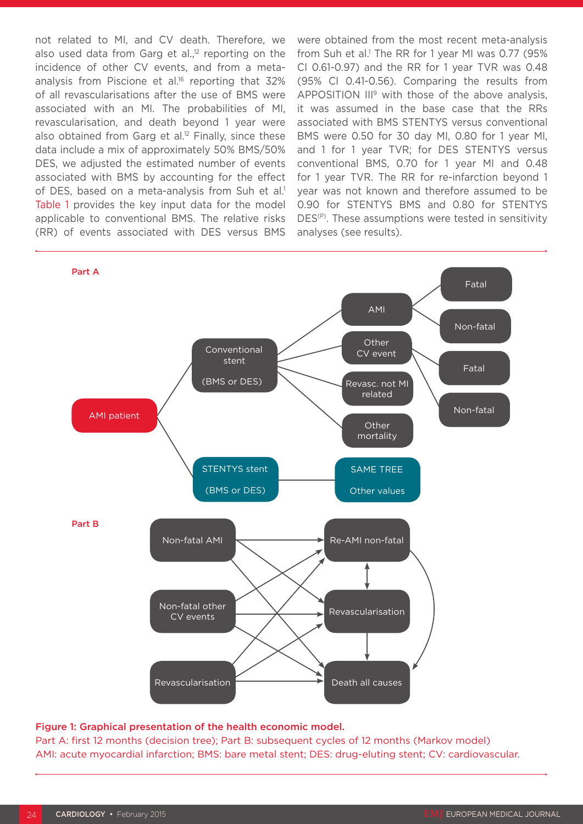not related to MI, and CV death. Therefore, we also used data from Garg et al. $12$  reporting on the incidence of other CV events, and from a metaanalysis from Piscione et al.<sup>16</sup> reporting that 32% of all revascularisations after the use of BMS were associated with an MI. The probabilities of MI, revascularisation, and death beyond 1 year were also obtained from Garg et al. $12$  Finally, since these data include a mix of approximately 50% BMS/50% DES, we adjusted the estimated number of events associated with BMS by accounting for the effect of DES, based on a meta-analysis from Suh et al.<sup>1</sup> Table 1 provides the key input data for the model applicable to conventional BMS. The relative risks (RR) of events associated with DES versus BMS

were obtained from the most recent meta-analysis from Suh et al.<sup>1</sup> The RR for 1 year MI was 0.77 (95% CI 0.61-0.97) and the RR for 1 year TVR was 0.48 (95% CI 0.41-0.56). Comparing the results from APPOSITION  $III^9$  with those of the above analysis. it was assumed in the base case that the RRs associated with BMS STENTYS versus conventional BMS were 0.50 for 30 day MI, 0.80 for 1 year MI, and 1 for 1 year TVR; for DES STENTYS versus conventional BMS, 0.70 for 1 year MI and 0.48 for 1 year TVR. The RR for re-infarction beyond 1 year was not known and therefore assumed to be 0.90 for STENTYS BMS and 0.80 for STENTYS DES<sup>(P)</sup>. These assumptions were tested in sensitivity analyses (see results).



#### Figure 1: Graphical presentation of the health economic model.

Part A: first 12 months (decision tree); Part B: subsequent cycles of 12 months (Markov model) AMI: acute myocardial infarction; BMS: bare metal stent; DES: drug-eluting stent; CV: cardiovascular.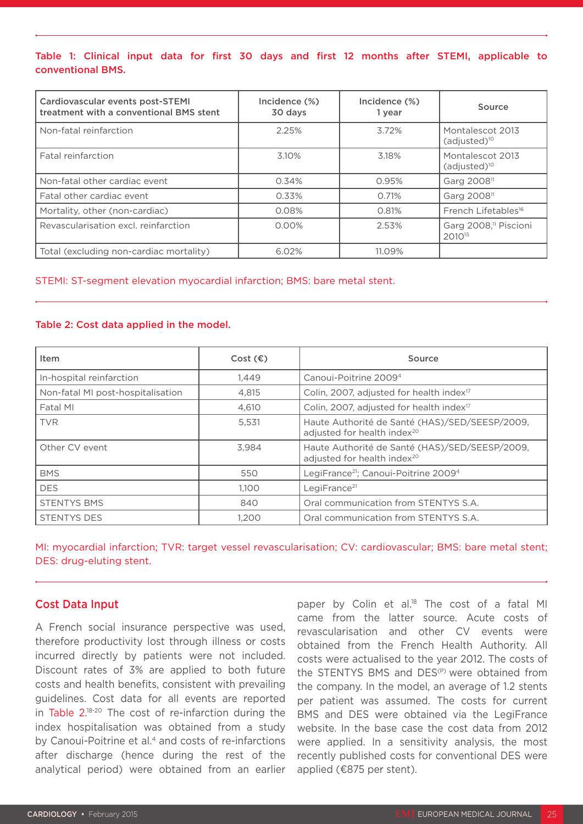Table 1: Clinical input data for first 30 days and first 12 months after STEMI, applicable to conventional BMS.

| Cardiovascular events post-STEMI<br>treatment with a conventional BMS stent | Incidence (%)<br>30 days | Incidence (%)<br>1 year | Source                                                  |  |
|-----------------------------------------------------------------------------|--------------------------|-------------------------|---------------------------------------------------------|--|
| Non-fatal reinfarction                                                      | 2.25%                    | 3.72%                   | Montalescot 2013<br>$(adjusted)^{10}$                   |  |
| Fatal reinfarction                                                          | 3.10%                    | 3.18%                   | Montalescot 2013<br>$(adjusted)^{10}$                   |  |
| Non-fatal other cardiac event                                               | 0.34%                    | 0.95%                   | Garg 2008 <sup>11</sup>                                 |  |
| Fatal other cardiac event                                                   | 0.33%                    | 0.71%                   | Garg 2008 <sup>11</sup>                                 |  |
| Mortality, other (non-cardiac)                                              | 0.08%                    | 0.81%                   | French Lifetables <sup>16</sup>                         |  |
| Revascularisation excl. reinfarction                                        | $0.00\%$                 | 2.53%                   | Garg 2008, <sup>11</sup> Piscioni<br>2010 <sup>15</sup> |  |
| Total (excluding non-cardiac mortality)                                     | 6.02%                    | 11.09%                  |                                                         |  |

#### STEMI: ST-segment elevation myocardial infarction; BMS: bare metal stent.

#### Table 2: Cost data applied in the model.

| Item                              | Cost $(\epsilon)$ | Source                                                                                    |
|-----------------------------------|-------------------|-------------------------------------------------------------------------------------------|
| In-hospital reinfarction          | 1.449             | Canoui-Poitrine 2009 <sup>4</sup>                                                         |
| Non-fatal MI post-hospitalisation | 4.815             | Colin, 2007, adjusted for health index <sup>17</sup>                                      |
| Fatal MI                          | 4.610             | Colin, 2007, adjusted for health index <sup>17</sup>                                      |
| <b>TVR</b>                        | 5,531             | Haute Authorité de Santé (HAS)/SED/SEESP/2009,<br>adjusted for health index <sup>20</sup> |
| Other CV event                    | 3.984             | Haute Authorité de Santé (HAS)/SED/SEESP/2009,<br>adjusted for health index <sup>20</sup> |
| <b>BMS</b>                        | 550               | LegiFrance <sup>21</sup> ; Canoui-Poitrine 2009 <sup>4</sup>                              |
| <b>DES</b>                        | 1.100             | LegiFrance <sup>21</sup>                                                                  |
| <b>STENTYS BMS</b>                | 840               | Oral communication from STENTYS S.A.                                                      |
| <b>STENTYS DES</b>                | 1.200             | Oral communication from STENTYS S.A.                                                      |

MI: myocardial infarction; TVR: target vessel revascularisation; CV: cardiovascular; BMS: bare metal stent; DES: drug-eluting stent.

### Cost Data Input

A French social insurance perspective was used, therefore productivity lost through illness or costs incurred directly by patients were not included. Discount rates of 3% are applied to both future costs and health benefits, consistent with prevailing guidelines. Cost data for all events are reported in Table 2. 18-20 The cost of re-infarction during the index hospitalisation was obtained from a study by Canoui-Poitrine et al.<sup>4</sup> and costs of re-infarctions after discharge (hence during the rest of the analytical period) were obtained from an earlier

paper by Colin et al.<sup>18</sup> The cost of a fatal MI came from the latter source. Acute costs of revascularisation and other CV events were obtained from the French Health Authority. All costs were actualised to the year 2012. The costs of the STENTYS BMS and DES<sup>(P)</sup> were obtained from the company. In the model, an average of 1.2 stents per patient was assumed. The costs for current BMS and DES were obtained via the LegiFrance website. In the base case the cost data from 2012 were applied. In a sensitivity analysis, the most recently published costs for conventional DES were applied (€875 per stent).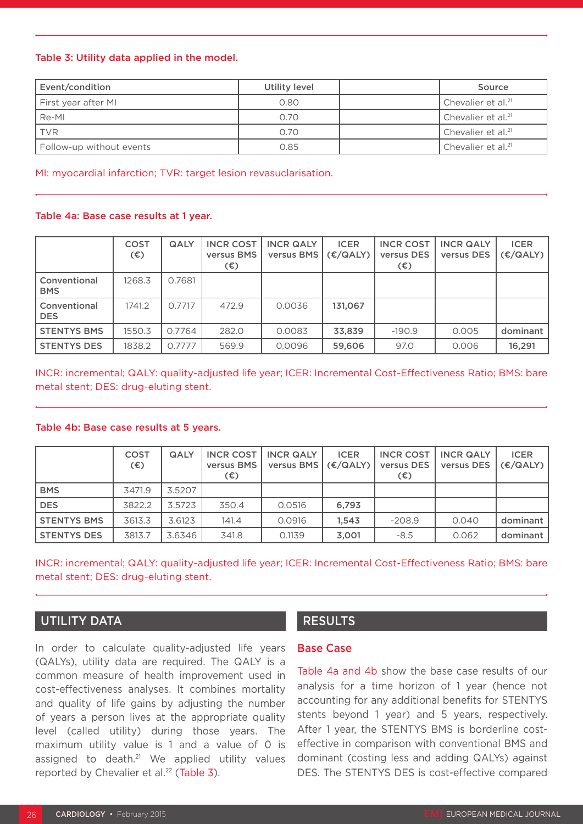#### Table 3: Utility data applied in the model.

| Event/condition          | Utility level | Source                         |
|--------------------------|---------------|--------------------------------|
| First year after MI      | 0.80          | Chevalier et al. <sup>21</sup> |
| Re-MI                    | 0.70          | Chevalier et al. <sup>21</sup> |
| <b>TVR</b>               | 0.70          | Chevalier et al. <sup>21</sup> |
| Follow-up without events | 0.85          | Chevalier et al. <sup>21</sup> |

MI: myocardial infarction; TVR: target lesion revasuclarisation.

#### Table 4a: Base case results at 1 year.

|                            | <b>COST</b><br>$(\epsilon)$ | <b>QALY</b> | <b>INCR COST</b><br>versus BMS<br>$(\epsilon)$ | <b>INCR QALY</b><br>versus BMS | <b>ICER</b><br>(E/ QALY) | <b>INCR COST</b><br>versus DES<br>(€) | <b>INCR QALY</b><br>versus DES | <b>ICER</b><br>(E/ QALY) |
|----------------------------|-----------------------------|-------------|------------------------------------------------|--------------------------------|--------------------------|---------------------------------------|--------------------------------|--------------------------|
| Conventional<br><b>BMS</b> | 1268.3                      | 0.7681      |                                                |                                |                          |                                       |                                |                          |
| Conventional<br><b>DES</b> | 1741.2                      | 0.7717      | 472.9                                          | 0.0036                         | 131.067                  |                                       |                                |                          |
| <b>STENTYS BMS</b>         | 1550.3                      | 0.7764      | 282.0                                          | 0.0083                         | 33,839                   | $-190.9$                              | 0.005                          | dominant                 |
| <b>STENTYS DES</b>         | 1838.2                      | 0.7777      | 569.9                                          | 0.0096                         | 59,606                   | 97.0                                  | 0.006                          | 16.291                   |

INCR: incremental; QALY: quality-adjusted life year; ICER: Incremental Cost-Effectiveness Ratio; BMS: bare metal stent; DES: drug-eluting stent.

#### Table 4b: Base case results at 5 years.

|                    | <b>COST</b><br>$(\epsilon)$ | <b>QALY</b> | versus BMS  <br>(€) | INCR COST I INCR QALY<br>versus BMS $ $ ( $\epsilon$ /QALY) $ $ | <b>ICER</b> | <b>INCR COST</b><br>versus DES  <br>(€) | <b>INCR QALY</b><br>versus DES | <b>ICER</b><br>(E/ QALY) |
|--------------------|-----------------------------|-------------|---------------------|-----------------------------------------------------------------|-------------|-----------------------------------------|--------------------------------|--------------------------|
| <b>BMS</b>         | 3471.9                      | 3.5207      |                     |                                                                 |             |                                         |                                |                          |
| <b>DES</b>         | 3822.2                      | 3.5723      | 350.4               | 0.0516                                                          | 6,793       |                                         |                                |                          |
| <b>STENTYS BMS</b> | 3613.3                      | 3.6123      | 141.4               | 0.0916                                                          | 1.543       | $-208.9$                                | 0.040                          | dominant                 |
| <b>STENTYS DES</b> | 3813.7                      | 3.6346      | 341.8               | 0.1139                                                          | 3,001       | $-8.5$                                  | 0.062                          | dominant                 |

INCR: incremental; QALY: quality-adjusted life year; ICER: Incremental Cost-Effectiveness Ratio; BMS: bare metal stent; DES: drug-eluting stent.

# UTILITY DATA

In order to calculate quality-adjusted life years (QALYs), utility data are required. The QALY is a common measure of health improvement used in cost-effectiveness analyses. It combines mortality and quality of life gains by adjusting the number of years a person lives at the appropriate quality level (called utility) during those years. The maximum utility value is 1 and a value of 0 is assigned to death.<sup>21</sup> We applied utility values reported by Chevalier et al.<sup>22</sup> (Table 3).

# RESULTS

## Base Case

Table 4a and 4b show the base case results of our analysis for a time horizon of 1 year (hence not accounting for any additional benefits for STENTYS stents beyond 1 year) and 5 years, respectively. After 1 year, the STENTYS BMS is borderline costeffective in comparison with conventional BMS and dominant (costing less and adding QALYs) against DES. The STENTYS DES is cost-effective compared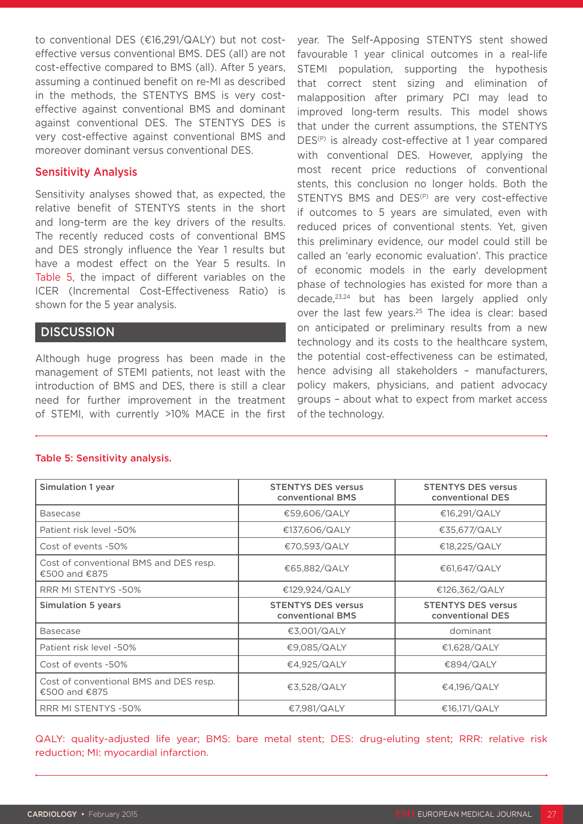to conventional DES (€16,291/QALY) but not costeffective versus conventional BMS. DES (all) are not cost-effective compared to BMS (all). After 5 years, assuming a continued benefit on re-MI as described in the methods, the STENTYS BMS is very costeffective against conventional BMS and dominant against conventional DES. The STENTYS DES is very cost-effective against conventional BMS and moreover dominant versus conventional DES.

# Sensitivity Analysis

Sensitivity analyses showed that, as expected, the relative benefit of STENTYS stents in the short and long-term are the key drivers of the results. The recently reduced costs of conventional BMS and DES strongly influence the Year 1 results but have a modest effect on the Year 5 results. In Table 5, the impact of different variables on the ICER (Incremental Cost-Effectiveness Ratio) is shown for the 5 year analysis.

# **DISCUSSION**

Although huge progress has been made in the management of STEMI patients, not least with the introduction of BMS and DES, there is still a clear need for further improvement in the treatment of STEMI, with currently >10% MACE in the first year. The Self-Apposing STENTYS stent showed favourable 1 year clinical outcomes in a real-life STEMI population, supporting the hypothesis that correct stent sizing and elimination of malapposition after primary PCI may lead to improved long-term results. This model shows that under the current assumptions, the STENTYS DES<sup>(P)</sup> is already cost-effective at 1 year compared with conventional DES. However, applying the most recent price reductions of conventional stents, this conclusion no longer holds. Both the STENTYS BMS and DES<sup>(P)</sup> are very cost-effective if outcomes to 5 years are simulated, even with reduced prices of conventional stents. Yet, given this preliminary evidence, our model could still be called an 'early economic evaluation'. This practice of economic models in the early development phase of technologies has existed for more than a decade,23,24 but has been largely applied only over the last few years.<sup>25</sup> The idea is clear: based on anticipated or preliminary results from a new technology and its costs to the healthcare system, the potential cost-effectiveness can be estimated, hence advising all stakeholders – manufacturers, policy makers, physicians, and patient advocacy groups – about what to expect from market access of the technology.

| Simulation 1 year                                       | <b>STENTYS DES versus</b><br>conventional BMS | <b>STENTYS DES versus</b><br>conventional DES |  |  |
|---------------------------------------------------------|-----------------------------------------------|-----------------------------------------------|--|--|
| <b>Basecase</b>                                         | €59,606/QALY                                  | €16,291/QALY                                  |  |  |
| Patient risk level -50%                                 | €137,606/QALY                                 | €35,677/QALY                                  |  |  |
| Cost of events -50%                                     | €70,593/QALY                                  | €18,225/QALY                                  |  |  |
| Cost of conventional BMS and DES resp.<br>€500 and €875 | €65,882/QALY                                  | €61,647/QALY                                  |  |  |
| <b>RRR MI STENTYS -50%</b>                              | €129,924/QALY                                 | €126,362/QALY                                 |  |  |
| <b>Simulation 5 years</b>                               | <b>STENTYS DES versus</b><br>conventional BMS | <b>STENTYS DES versus</b><br>conventional DES |  |  |
| <b>Basecase</b>                                         | €3,001/QALY                                   | dominant                                      |  |  |
| Patient risk level -50%                                 | €9,085/QALY                                   | €1,628/QALY                                   |  |  |
| Cost of events -50%                                     | €4,925/QALY                                   | €894/QALY                                     |  |  |
| Cost of conventional BMS and DES resp.<br>€500 and €875 | €3,528/QALY                                   | €4,196/QALY                                   |  |  |
| <b>RRR MI STENTYS -50%</b>                              | €7,981/QALY                                   | €16,171/QALY                                  |  |  |

#### Table 5: Sensitivity analysis.

QALY: quality-adjusted life year; BMS: bare metal stent; DES: drug-eluting stent; RRR: relative risk reduction; MI: myocardial infarction.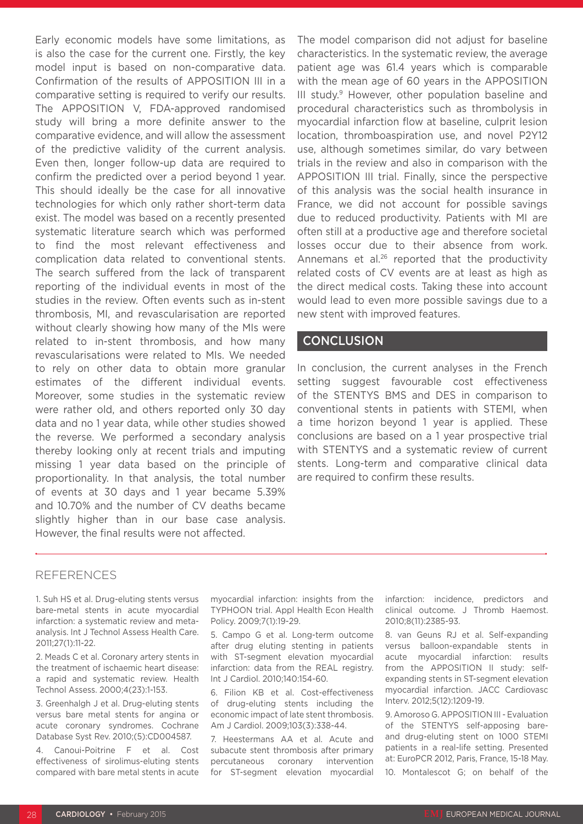Early economic models have some limitations, as is also the case for the current one. Firstly, the key model input is based on non-comparative data. Confirmation of the results of APPOSITION III in a comparative setting is required to verify our results. The APPOSITION V, FDA-approved randomised study will bring a more definite answer to the comparative evidence, and will allow the assessment of the predictive validity of the current analysis. Even then, longer follow-up data are required to confirm the predicted over a period beyond 1 year. This should ideally be the case for all innovative technologies for which only rather short-term data exist. The model was based on a recently presented systematic literature search which was performed to find the most relevant effectiveness and complication data related to conventional stents. The search suffered from the lack of transparent reporting of the individual events in most of the studies in the review. Often events such as in-stent thrombosis, MI, and revascularisation are reported without clearly showing how many of the MIs were related to in-stent thrombosis, and how many revascularisations were related to MIs. We needed to rely on other data to obtain more granular estimates of the different individual events. Moreover, some studies in the systematic review were rather old, and others reported only 30 day data and no 1 year data, while other studies showed the reverse. We performed a secondary analysis thereby looking only at recent trials and imputing missing 1 year data based on the principle of proportionality. In that analysis, the total number of events at 30 days and 1 year became 5.39% and 10.70% and the number of CV deaths became slightly higher than in our base case analysis. However, the final results were not affected.

The model comparison did not adjust for baseline characteristics. In the systematic review, the average patient age was 61.4 years which is comparable with the mean age of 60 years in the APPOSITION III study.<sup>9</sup> However, other population baseline and procedural characteristics such as thrombolysis in myocardial infarction flow at baseline, culprit lesion location, thromboaspiration use, and novel P2Y12 use, although sometimes similar, do vary between trials in the review and also in comparison with the APPOSITION III trial. Finally, since the perspective of this analysis was the social health insurance in France, we did not account for possible savings due to reduced productivity. Patients with MI are often still at a productive age and therefore societal losses occur due to their absence from work. Annemans et al.26 reported that the productivity related costs of CV events are at least as high as the direct medical costs. Taking these into account would lead to even more possible savings due to a new stent with improved features.

# **CONCLUSION**

In conclusion, the current analyses in the French setting suggest favourable cost effectiveness of the STENTYS BMS and DES in comparison to conventional stents in patients with STEMI, when a time horizon beyond 1 year is applied. These conclusions are based on a 1 year prospective trial with STENTYS and a systematic review of current stents. Long-term and comparative clinical data are required to confirm these results.

### REFERENCES

1. Suh HS et al. Drug-eluting stents versus bare-metal stents in acute myocardial infarction: a systematic review and metaanalysis. Int J Technol Assess Health Care. 2011;27(1):11-22.

2. Meads C et al. Coronary artery stents in the treatment of ischaemic heart disease: a rapid and systematic review. Health Technol Assess. 2000;4(23):1-153.

3. Greenhalgh J et al. Drug-eluting stents versus bare metal stents for angina or acute coronary syndromes. Cochrane Database Syst Rev. 2010;(5):CD004587.

4. Canoui-Poitrine F et al. Cost effectiveness of sirolimus-eluting stents compared with bare metal stents in acute

myocardial infarction: insights from the TYPHOON trial. Appl Health Econ Health Policy. 2009;7(1):19-29.

5. Campo G et al. Long-term outcome after drug eluting stenting in patients with ST-segment elevation myocardial infarction: data from the REAL registry. Int J Cardiol. 2010;140:154-60.

6. Filion KB et al. Cost-effectiveness of drug-eluting stents including the economic impact of late stent thrombosis. Am J Cardiol. 2009;103(3):338-44.

7. Heestermans AA et al. Acute and subacute stent thrombosis after primary percutaneous coronary intervention for ST-segment elevation myocardial infarction: incidence, predictors and clinical outcome. J Thromb Haemost. 2010;8(11):2385-93.

8. van Geuns RJ et al. Self-expanding versus balloon-expandable stents in acute myocardial infarction: results from the APPOSITION II study: selfexpanding stents in ST-segment elevation myocardial infarction. JACC Cardiovasc Interv. 2012;5(12):1209-19.

9. Amoroso G. APPOSITION III - Evaluation of the STENTYS self-apposing bareand drug-eluting stent on 1000 STEMI patients in a real-life setting. Presented at: EuroPCR 2012, Paris, France, 15-18 May. 10. Montalescot G; on behalf of the